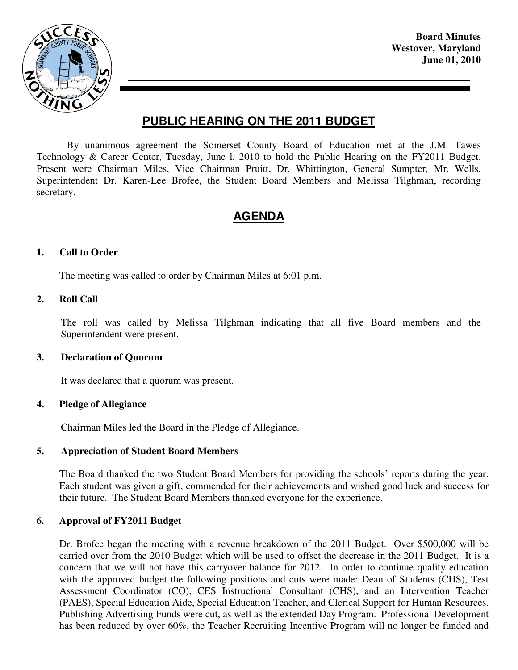

**Board Minutes Westover, Maryland June 01, 2010** 

# **PUBLIC HEARING ON THE 2011 BUDGET**

By unanimous agreement the Somerset County Board of Education met at the J.M. Tawes Technology & Career Center, Tuesday, June l, 2010 to hold the Public Hearing on the FY2011 Budget. Present were Chairman Miles, Vice Chairman Pruitt, Dr. Whittington, General Sumpter, Mr. Wells, Superintendent Dr. Karen-Lee Brofee, the Student Board Members and Melissa Tilghman, recording secretary.

## **AGENDA**

#### **1. Call to Order**

The meeting was called to order by Chairman Miles at 6:01 p.m.

#### **2. Roll Call**

The roll was called by Melissa Tilghman indicating that all five Board members and the Superintendent were present.

#### **3. Declaration of Quorum**

It was declared that a quorum was present.

#### **4. Pledge of Allegiance**

Chairman Miles led the Board in the Pledge of Allegiance.

#### **5. Appreciation of Student Board Members**

The Board thanked the two Student Board Members for providing the schools' reports during the year. Each student was given a gift, commended for their achievements and wished good luck and success for their future. The Student Board Members thanked everyone for the experience.

#### **6. Approval of FY2011 Budget**

Dr. Brofee began the meeting with a revenue breakdown of the 2011 Budget. Over \$500,000 will be carried over from the 2010 Budget which will be used to offset the decrease in the 2011 Budget. It is a concern that we will not have this carryover balance for 2012. In order to continue quality education with the approved budget the following positions and cuts were made: Dean of Students (CHS), Test Assessment Coordinator (CO), CES Instructional Consultant (CHS), and an Intervention Teacher (PAES), Special Education Aide, Special Education Teacher, and Clerical Support for Human Resources. Publishing Advertising Funds were cut, as well as the extended Day Program. Professional Development has been reduced by over 60%, the Teacher Recruiting Incentive Program will no longer be funded and